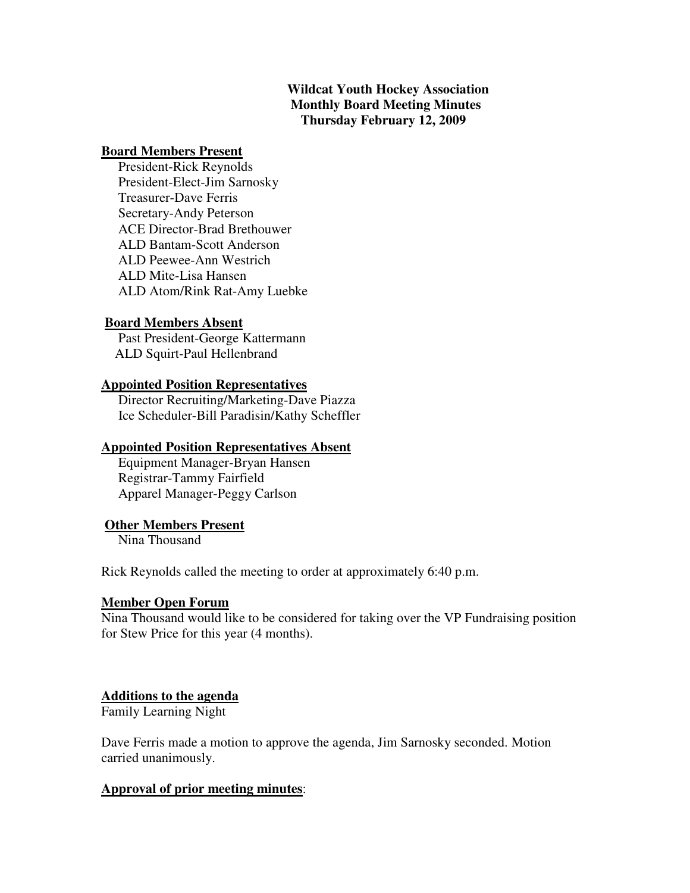## **Wildcat Youth Hockey Association Monthly Board Meeting Minutes Thursday February 12, 2009**

### **Board Members Present**

 President-Rick Reynolds President-Elect-Jim Sarnosky Treasurer-Dave Ferris Secretary-Andy Peterson ACE Director-Brad Brethouwer ALD Bantam-Scott Anderson ALD Peewee-Ann Westrich ALD Mite-Lisa Hansen ALD Atom/Rink Rat-Amy Luebke

### **Board Members Absent**

 Past President-George Kattermann ALD Squirt-Paul Hellenbrand

### **Appointed Position Representatives**

 Director Recruiting/Marketing-Dave Piazza Ice Scheduler-Bill Paradisin/Kathy Scheffler

### **Appointed Position Representatives Absent**

 Equipment Manager-Bryan Hansen Registrar-Tammy Fairfield Apparel Manager-Peggy Carlson

## **Other Members Present**

Nina Thousand

Rick Reynolds called the meeting to order at approximately 6:40 p.m.

### **Member Open Forum**

Nina Thousand would like to be considered for taking over the VP Fundraising position for Stew Price for this year (4 months).

### **Additions to the agenda**

Family Learning Night

Dave Ferris made a motion to approve the agenda, Jim Sarnosky seconded. Motion carried unanimously.

## **Approval of prior meeting minutes**: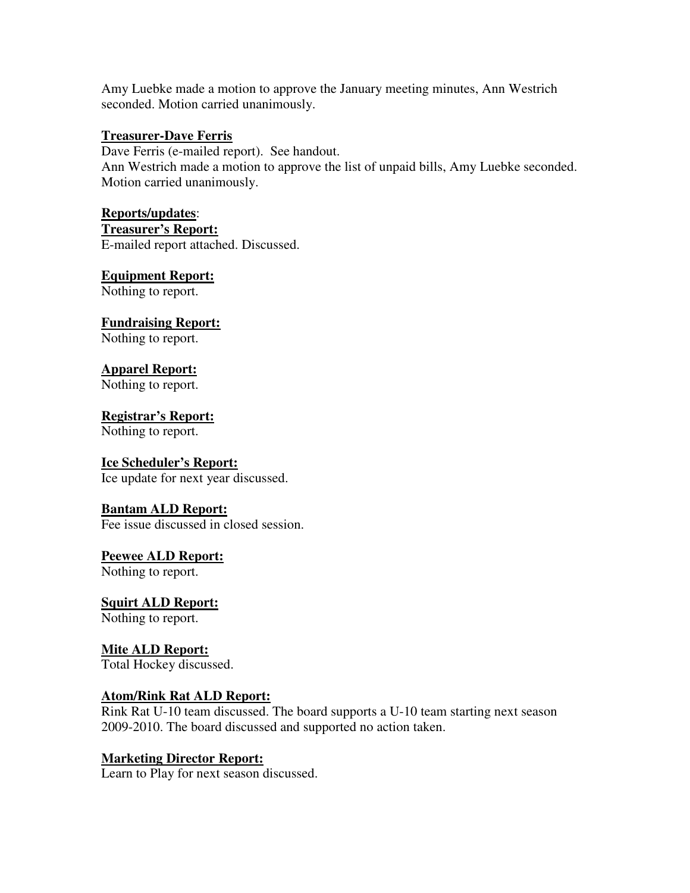Amy Luebke made a motion to approve the January meeting minutes, Ann Westrich seconded. Motion carried unanimously.

## **Treasurer-Dave Ferris**

Dave Ferris (e-mailed report). See handout. Ann Westrich made a motion to approve the list of unpaid bills, Amy Luebke seconded. Motion carried unanimously.

## **Reports/updates**:

**Treasurer's Report:**

E-mailed report attached. Discussed.

## **Equipment Report:**

Nothing to report.

# **Fundraising Report:**

Nothing to report.

# **Apparel Report:**

Nothing to report.

# **Registrar's Report:**

Nothing to report.

# **Ice Scheduler's Report:**

Ice update for next year discussed.

# **Bantam ALD Report:**

Fee issue discussed in closed session.

### **Peewee ALD Report:** Nothing to report.

**Squirt ALD Report:** Nothing to report.

# **Mite ALD Report:** Total Hockey discussed.

# **Atom/Rink Rat ALD Report:**

Rink Rat U-10 team discussed. The board supports a U-10 team starting next season 2009-2010. The board discussed and supported no action taken.

# **Marketing Director Report:**

Learn to Play for next season discussed.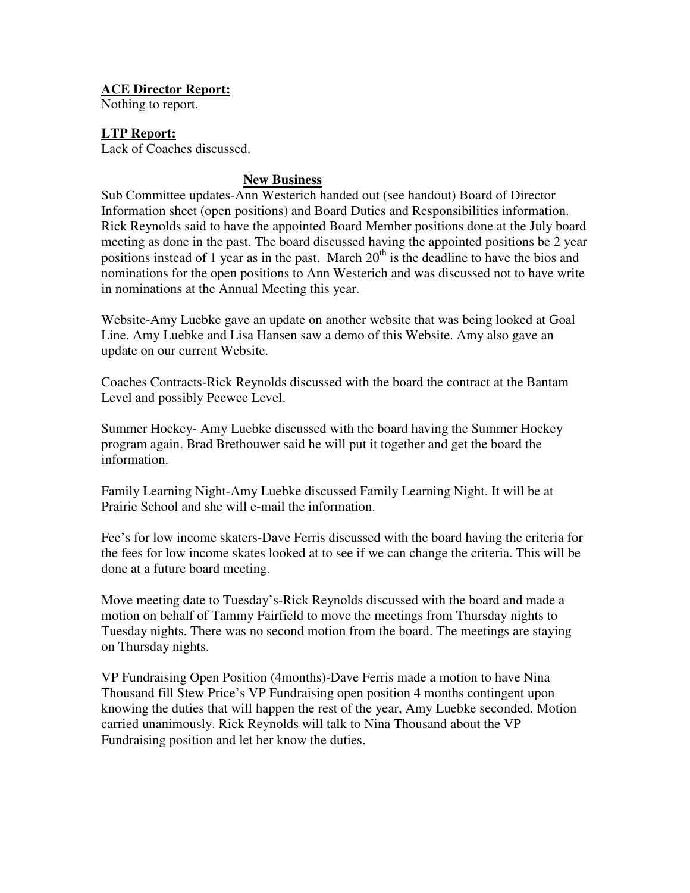## **ACE Director Report:**

Nothing to report.

## **LTP Report:**

Lack of Coaches discussed.

### **New Business**

Sub Committee updates-Ann Westerich handed out (see handout) Board of Director Information sheet (open positions) and Board Duties and Responsibilities information. Rick Reynolds said to have the appointed Board Member positions done at the July board meeting as done in the past. The board discussed having the appointed positions be 2 year positions instead of 1 year as in the past. March  $20<sup>th</sup>$  is the deadline to have the bios and nominations for the open positions to Ann Westerich and was discussed not to have write in nominations at the Annual Meeting this year.

Website-Amy Luebke gave an update on another website that was being looked at Goal Line. Amy Luebke and Lisa Hansen saw a demo of this Website. Amy also gave an update on our current Website.

Coaches Contracts-Rick Reynolds discussed with the board the contract at the Bantam Level and possibly Peewee Level.

Summer Hockey- Amy Luebke discussed with the board having the Summer Hockey program again. Brad Brethouwer said he will put it together and get the board the information.

Family Learning Night-Amy Luebke discussed Family Learning Night. It will be at Prairie School and she will e-mail the information.

Fee's for low income skaters-Dave Ferris discussed with the board having the criteria for the fees for low income skates looked at to see if we can change the criteria. This will be done at a future board meeting.

Move meeting date to Tuesday's-Rick Reynolds discussed with the board and made a motion on behalf of Tammy Fairfield to move the meetings from Thursday nights to Tuesday nights. There was no second motion from the board. The meetings are staying on Thursday nights.

VP Fundraising Open Position (4months)-Dave Ferris made a motion to have Nina Thousand fill Stew Price's VP Fundraising open position 4 months contingent upon knowing the duties that will happen the rest of the year, Amy Luebke seconded. Motion carried unanimously. Rick Reynolds will talk to Nina Thousand about the VP Fundraising position and let her know the duties.